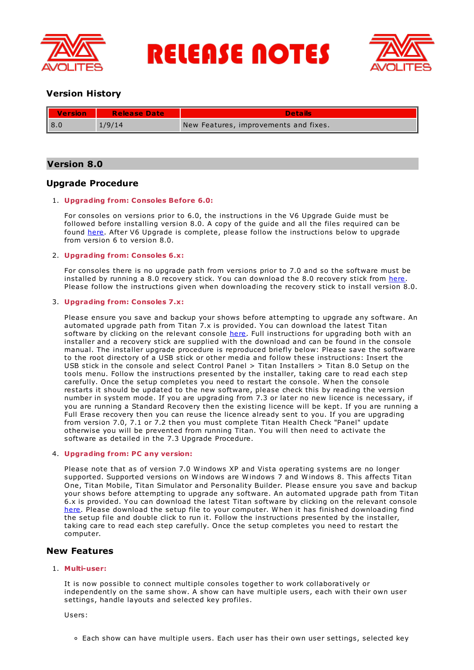

**RELEASE NOTES** 



# **Version History**

| ι<br><b>Version</b> | <b>Release Date</b> | <b>Details</b>                        |
|---------------------|---------------------|---------------------------------------|
| l 8.0               | 1/9/14              | New Features, improvements and fixes. |

# **Version 8.0**

# **Upgrade Procedure**

# 1. **Upgrading from: Consoles Before 6.0:**

For consoles on versions prior to 6.0, the instructions in the V6 Upgrade Guide must be followed before installing version 8.0. A copy of the guide and all the files required can be found [here](http://www.avolites.com/V6Upgrade). After V6 Upgrade is complete, please follow the instructions below to upgrade from version 6 to version 8.0.

# 2. **Upgrading from: Consoles 6.x:**

For consoles there is no upgrade path from versions prior to 7.0 and so the software must be installed by running a 8.0 recovery stick. You can download the 8.0 recovery stick from [here](http://www.avolites.com/software/latest-version). Please follow the instructions given when downloading the recovery stick to install version 8.0.

# 3. **Upgrading from: Consoles 7.x:**

Please ensure you save and backup your shows before attempting to upgrade any software. An automated upgrade path from Titan 7.x is provided. You can download the latest Titan software by clicking on the relevant console [here](http://www.avolites.com/software/latest-version). Full instructions for upgrading both with an installer and a recovery stick are supplied with the download and can be found in the console manual. The installer upgrade procedure is reproduced briefly below: Please save the software to the root directory of a USB stick or other media and follow these instructions: Insert the USB stick in the console and select Control Panel > Titan Installers > Titan 8.0 Setup on the tools menu. Follow the instructions presented by the installer, taking care to read each step carefully. Once the setup completes you need to restart the console. W hen the console restarts it should be updated to the new software, please check this by reading the version number in system mode. If you are upgrading from 7.3 or later no new licence is necessary, if you are running a Standard Recovery then the existing licence will be kept. If you are running a Full Erase recovery then you can reuse the licence already sent to you. If you are upgrading from version 7.0, 7.1 or 7.2 then you must complete Titan Health Check "Panel" update otherwise you will be prevented from running Titan. You will then need to activate the software as detailed in the 7.3 Upgrade Procedure.

# 4. **Upgrading from: PC any version:**

Please note that as of version 7.0 W indows XP and Vista operating systems are no longer supported. Supported versions on W indows are W indows 7 and W indows 8. This affects Titan One, Titan Mobile, Titan Simulator and Personality Builder. Please ensure you save and backup your shows before attempting to upgrade any software. An automated upgrade path from Titan 6.x is provided. You can download the latest Titan software by clicking on the relevant console [here](http://www.avolites.com/software/latest-version). Please download the setup file to your computer. When it has finished downloading find the setup file and double click to run it. Follow the instructions presented by the installer, taking care to read each step carefully. Once the setup completes you need to restart the computer.

# **New Features**

# 1. **Multi-user:**

It is now possible to connect multiple consoles together to work collaboratively or independently on the same show. A show can have multiple users, each with their own user settings, handle layouts and selected key profiles.

Users:

Each show can have multiple users. Each user has their own user settings, selected key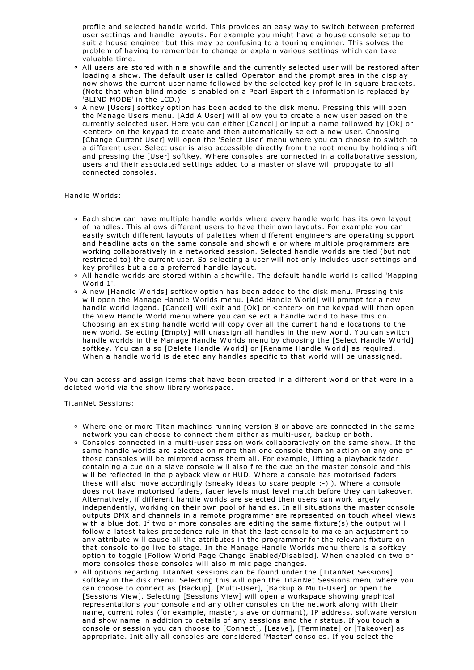profile and selected handle world. This provides an easy way to switch between preferred user settings and handle layouts. For example you might have a house console setup to suit a house engineer but this may be confusing to a touring enginner. This solves the problem of having to remember to change or explain various settings which can take valuable time.

- All users are stored within a showfile and the currently selected user will be restored after loading a show. The default user is called 'Operator' and the prompt area in the display now shows the current user name followed by the selected key profile in square brackets. (Note that when blind mode is enabled on a Pearl Expert this information is replaced by 'BLIND MODE' in the LCD.)
- A new [Users] softkey option has been added to the disk menu. Pressing this will open the Manage Users menu. [Add A User] will allow you to create a new user based on the currently selected user. Here you can either [Cancel] or input a name followed by [Ok] or <enter> on the keypad to create and then automatically select a new user. Choosing [Change Current User] will open the 'Select User' menu where you can choose to switch to a different user. Select user is also accessible directly from the root menu by holding shift and pressing the [User] softkey. W here consoles are connected in a collaborative session, users and their associated settings added to a master or slave will propogate to all connected consoles.

## Handle W orlds:

- Each show can have multiple handle worlds where every handle world has its own layout of handles. This allows different users to have their own layouts. For example you can easily switch different layouts of palettes when different engineers are operating support and headline acts on the same console and showfile or where multiple programmers are working collaboratively in a networked session. Selected handle worlds are tied (but not restricted to) the current user. So selecting a user will not only includes user settings and key profiles but also a preferred handle layout.
- All handle worlds are stored within a showfile. The default handle world is called 'Mapping W orld 1'.
- A new [Handle W orlds] softkey option has been added to the disk menu. Pressing this will open the Manage Handle W orlds menu. [Add Handle W orld] will prompt for a new handle world legend. [Cancel] will exit and [Ok] or <enter> on the keypad will then open the View Handle W orld menu where you can select a handle world to base this on. Choosing an existing handle world will copy over all the current handle locations to the new world. Selecting [Empty] will unassign all handles in the new world. You can switch handle worlds in the Manage Handle W orlds menu by choosing the [Select Handle W orld] softkey. You can also [Delete Handle World] or [Rename Handle World] as required.<br>When a handle world is deleted any handles specific to that world will be unassigned.

You can access and assign items that have been created in a different world or that were in a deleted world via the show library workspace.

TitanNet Sessions:

- W here one or more Titan machines running version 8 or above are connected in the same network you can choose to connect them either as multi-user, backup or both.
- Consoles connected in a multi-user session work collaboratively on the same show. If the same handle worlds are selected on more than one console then an action on any one of those consoles will be mirrored across them all. For example, lifting a playback fader containing a cue on a slave console will also fire the cue on the master console and this will be reflected in the playback view or HUD. W here a console has motorised faders these will also move accordingly (sneaky ideas to scare people :-) ). W here a console does not have motorised faders, fader levels must level match before they can takeover. Alternatively, if different handle worlds are selected then users can work largely independently, working on their own pool of handles. In all situations the master console outputs DMX and channels in a remote programmer are represented on touch wheel views with a blue dot. If two or more consoles are editing the same fixture(s) the output will follow a latest takes precedence rule in that the last console to make an adjustment to any attribute will cause all the attributes in the programmer for the relevant fixture on that console to go live to stage. In the Manage Handle W orlds menu there is a softkey option to toggle [Follow W orld Page Change Enabled/Disabled]. W hen enabled on two or more consoles those consoles will also mimic page changes.
- All options regarding TitanNet sessions can be found under the [TitanNet Sessions] softkey in the disk menu. Selecting this will open the TitanNet Sessions menu where you can choose to connect as [Backup], [Multi-User], [Backup & Multi-User] or open the [Sessions View]. Selecting [Sessions View] will open a workspace showing graphical representations your console and any other consoles on the network along with their name, current roles (for example, master, slave or dormant), IP address, software version and show name in addition to details of any sessions and their status. If you touch a console or session you can choose to [Connect], [Leave], [Terminate] or [Takeover] as appropriate. Initially all consoles are considered 'Master' consoles. If you select the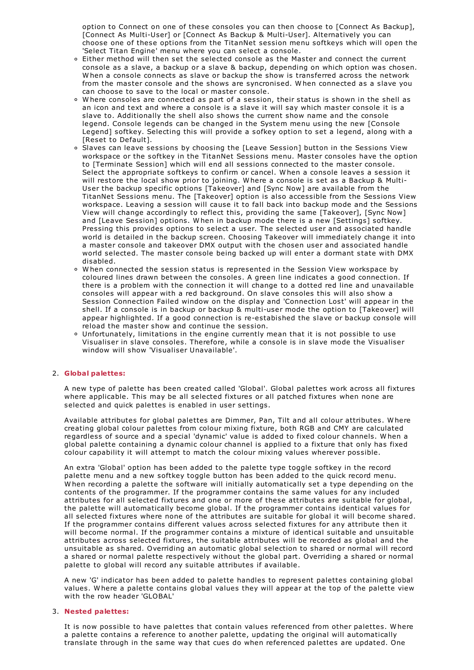option to Connect on one of these consoles you can then choose to [Connect As Backup], [Connect As Multi-User] or [Connect As Backup & Multi-User]. Alternatively you can choose one of these options from the TitanNet session menu softkeys which will open the 'Select Titan Engine' menu where you can select a console.

- Either method will then set the selected console as the Master and connect the current console as a slave, a backup or a slave & backup, depending on which option was chosen.<br>W hen a console connects as slave or backup the show is transferred across the network from the master console and the shows are syncronised. When connected as a slave you<br>can choose to save to the local or master console.
- $\circ$  Where consoles are connected as part of a session, their status is shown in the shell as an icon and text and where a console is a slave it will say which master console it is a slave to. Additionally the shell also shows the current show name and the console legend. Console legends can be changed in the System menu using the new [Console Legend] softkey. Selecting this will provide a sofkey option to set a legend, along with a [Reset to Default].
- Slaves can leave sessions by choosing the [Leave Session] button in the Sessions View workspace or the softkey in the TitanNet Sessions menu. Master consoles have the option to [Terminate Session] which will end all sessions connected to the master console. Select the appropriate softkeys to confirm or cancel. W hen a console leaves a session it will restore the local show prior to joining. W here a console is set as a Backup & Multi-User the backup specific options [Takeover] and [Sync Now] are available from the TitanNet Sessions menu. The [Takeover] option is also accessible from the Sessions View workspace. Leaving a session will cause it to fall back into backup mode and the Sessions View will change accordingly to reflect this, providing the same [Takeover], [Sync Now] and [Leave Session] options. W hen in backup mode there is a new [Settings] softkey. Pressing this provides options to select a user. The selected user and associated handle world is detailed in the backup screen. Choosing Takeover will immediately change it into a master console and takeover DMX output with the chosen user and associated handle world selected. The master console being backed up will enter a dormant state with DMX
- disabled. <sup>W</sup> hen connected the session status is represented in the Session View workspace by coloured lines drawn between the consoles. A green line indicates a good connection. If there is a problem with the connection it will change to a dotted red line and unavailable consoles will appear with a red background. On slave consoles this will also show a Session Connection Failed window on the display and 'Connection Lost' will appear in the shell. If a console is in backup or backup & multi-user mode the option to [Takeover] will appear highlighted. If a good connection is re-estabished the slave or backup console will reload the master show and continue the session.
- Unfortunately, limitations in the engine currently mean that it is not possible to use Visualiser in slave consoles. Therefore, while a console is in slave mode the Visualiser window will show 'Visualiser Unavailable'.

## 2. **Global palettes:**

A new type of palette has been created called 'Global'. Global palettes work across all fixtures where applicable. This may be all selected fixtures or all patched fixtures when none are selected and quick palettes is enabled in user settings.

Available attributes for global palettes are Dimmer, Pan, Tilt and all colour attributes. W here creating global colour palettes from colour mixing fixture, both RGB and CMY are calculated regardless of source and a special 'dynamic' value is added to fixed colour channels. W hen a global palette containing a dynamic colour channel is applied to a fixture that only has fixed colour capability it will attempt to match the colour mixing values wherever possible.

An extra 'Global' option has been added to the palette type toggle softkey in the record palette menu and a new softkey toggle button has been added to the quick record menu. W hen recording a palette the software will initially automatically set a type depending on the contents of the programmer. If the programmer contains the same values for any included attributes for all selected fixtures and one or more of these attributes are suitable for global, the palette will automatically become global. If the programmer contains identical values for all selected fixtures where none of the attributes are suitable for global it will become shared. If the programmer contains different values across selected fixtures for any attribute then it will become normal. If the programmer contains a mixture of identical suitable and unsuitable attributes across selected fixtures, the suitable attributes will be recorded as global and the unsuitable as shared. Overriding an automatic global selection to shared or normal will record a shared or normal palette respectively without the global part. Overriding a shared or normal palette to global will record any suitable attributes if available.

A new 'G' indicator has been added to palette handles to represent palettes containing global values. W here a palette contains global values they will appear at the top of the palette view with the row header 'GLOBAL'

## 3. **Nested palettes:**

It is now possible to have palettes that contain values referenced from other palettes. W here a palette contains a reference to another palette, updating the original will automatically translate through in the same way that cues do when referenced palettes are updated. One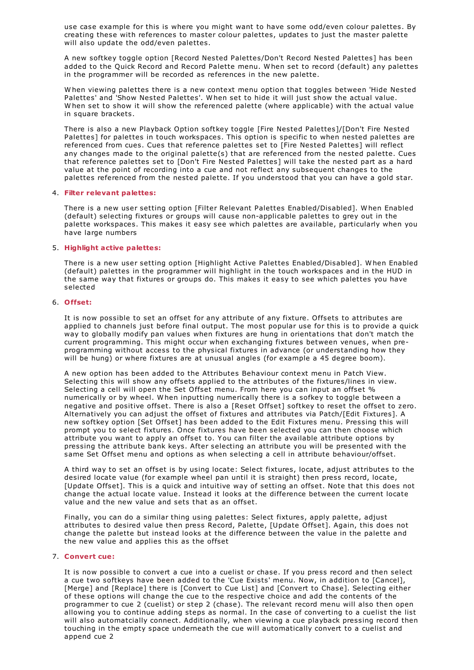use case example for this is where you might want to have some odd/even colour palettes. By creating these with references to master colour palettes, updates to just the master palette will also update the odd/even palettes.

A new softkey toggle option [Record Nested Palettes/Don't Record Nested Palettes] has been added to the Quick Record and Record Palette menu. W hen set to record (default) any palettes in the programmer will be recorded as references in the new palette.

W hen viewing palettes there is a new context menu option that toggles between 'Hide Nested Palettes' and 'Show Nested Palettes'. When set to hide it will just show the actual value.<br>When set to show it will show the referenced palette (where applicable) with the actual value in square brackets.

There is also a new Playback Option softkey toggle [Fire Nested Palettes]/[Don't Fire Nested Palettes] for palettes in touch workspaces. This option is specific to when nested palettes are referenced from cues. Cues that reference palettes set to [Fire Nested Palettes] will reflect any changes made to the original palette(s) that are referenced from the nested palette. Cues that reference palettes set to [Don't Fire Nested Palettes] will take the nested part as a hard value at the point of recording into a cue and not reflect any subsequent changes to the palettes referenced from the nested palette. If you understood that you can have a gold star.

## 4. **Filter relevant palettes:**

There is a new user setting option [Filter Relevant Palettes Enabled/Disabled]. W hen Enabled (default) selecting fixtures or groups will cause non-applicable palettes to grey out in the palette workspaces. This makes it easy see which palettes are available, particularly when you have large numbers

## 5. **Highlight active palettes:**

There is a new user setting option [Highlight Active Palettes Enabled/Disabled]. W hen Enabled (default) palettes in the programmer will highlight in the touch workspaces and in the HUD in the same way that fixtures or groups do. This makes it easy to see which palettes you have selected

## 6. **Offset:**

It is now possible to set an offset for any attribute of any fixture. Offsets to attributes are applied to channels just before final output. The most popular use for this is to provide a quick way to globally modify pan values when fixtures are hung in orientations that don't match the current programming. This might occur when exchanging fixtures between venues, when preprogramming without access to the physical fixtures in advance (or understanding how they will be hung) or where fixtures are at unusual angles (for example a 45 degree boom).

A new option has been added to the Attributes Behaviour context menu in Patch View. Selecting this will show any offsets applied to the attributes of the fixtures/lines in view. Selecting a cell will open the Set Offset menu. From here you can input an offset % numerically or by wheel. W hen inputting numerically there is a sofkey to toggle between a negative and positive offset. There is also a [Reset Offset] softkey to reset the offset to zero. Alternatively you can adjust the offset of fixtures and attributes via Patch/[Edit Fixtures]. A new softkey option [Set Offset] has been added to the Edit Fixtures menu. Pressing this will prompt you to select fixtures. Once fixtures have been selected you can then choose which attribute you want to apply an offset to. You can filter the available attribute options by pressing the attribute bank keys. After selecting an attribute you will be presented with the same Set Offset menu and options as when selecting a cell in attribute behaviour/offset.

A third way to set an offset is by using locate: Select fixtures, locate, adjust attributes to the desired locate value (for example wheel pan until it is straight) then press record, locate, [Update Offset]. This is a quick and intuitive way of setting an offset. Note that this does not change the actual locate value. Instead it looks at the difference between the current locate value and the new value and sets that as an offset.

Finally, you can do a similar thing using palettes: Select fixtures, apply palette, adjust attributes to desired value then press Record, Palette, [Update Offset]. Again, this does not change the palette but instead looks at the difference between the value in the palette and the new value and applies this as the offset

## 7. **Convert cue:**

It is now possible to convert a cue into a cuelist or chase. If you press record and then select a cue two softkeys have been added to the 'Cue Exists' menu. Now, in addition to [Cancel], [Merge] and [Replace] there is [Convert to Cue List] and [Convert to Chase]. Selecting either of these options will change the cue to the respective choice and add the contents of the programmer to cue 2 (cuelist) or step 2 (chase). The relevant record menu will also then open allowing you to continue adding steps as normal. In the case of converting to a cuelist the list will also automatcially connect. Additionally, when viewing a cue playback pressing record then touching in the empty space underneath the cue will automatically convert to a cuelist and append cue 2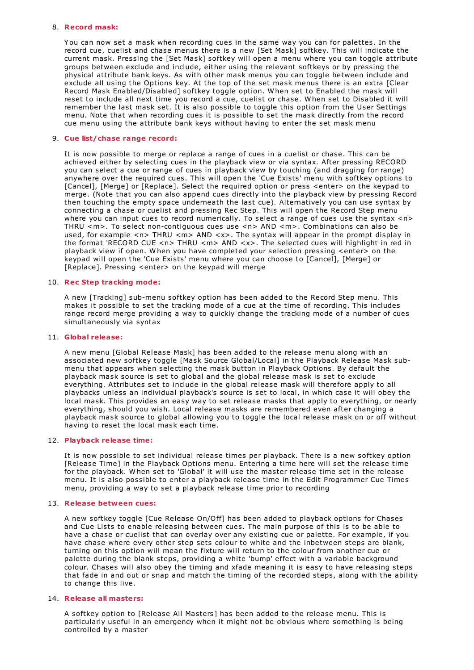## 8. **Record mask:**

You can now set a mask when recording cues in the same way you can for palettes. In the record cue, cuelist and chase menus there is a new [Set Mask] softkey. This will indicate the current mask. Pressing the [Set Mask] softkey will open a menu where you can toggle attribute groups between exclude and include, either using the relevant softkeys or by pressing the physical attribute bank keys. As with other mask menus you can toggle between include and exclude all using the Options key. At the top of the set mask menus there is an extra [Clear Record Mask Enabled/Disabled] softkey toggle option. W hen set to Enabled the mask will reset to include all next time you record a cue, cuelist or chase. W hen set to Disabled it will remember the last mask set. It is also possible to toggle this option from the User Settings menu. Note that when recording cues it is possible to set the mask directly from the record cue menu using the attribute bank keys without having to enter the set mask menu

### 9. **Cue list/chase range record:**

It is now possible to merge or replace a range of cues in a cuelist or chase. This can be achieved either by selecting cues in the playback view or via syntax. After pressing RECORD you can select a cue or range of cues in playback view by touching (and dragging for range) anywhere over the required cues. This will open the 'Cue Exists' menu with softkey options to [Cancel], [Merge] or [Replace]. Select the required option or press <enter> on the keypad to merge. (Note that you can also append cues directly into the playback view by pressing Record then touching the empty space underneath the last cue). Alternatively you can use syntax by connecting a chase or cuelist and pressing Rec Step. This will open the Record Step menu where you can input cues to record numerically. To select a range of cues use the syntax <n> THRU <m>. To select non-contiguous cues use <n> AND <m>. Combinations can also be used, for example <n> THRU <m> AND <x>. The syntax will appear in the prompt display in the format 'RECORD CUE <n> THRU <m> AND <x>. The selected cues will highlight in red in playback view if open. W hen you have completed your selection pressing <enter> on the keypad will open the 'Cue Exists' menu where you can choose to [Cancel], [Merge] or [Replace]. Pressing <enter> on the keypad will merge

# 10. **Rec Step tracking mode:**

A new [Tracking] sub-menu softkey option has been added to the Record Step menu. This makes it possible to set the tracking mode of a cue at the time of recording. This includes range record merge providing a way to quickly change the tracking mode of a number of cues simultaneously via syntax

### 11. **Global release:**

A new menu [Global Release Mask] has been added to the release menu along with an associated new softkey toggle [Mask Source Global/Local] in the Playback Release Mask sub- menu that appears when selecting the mask button in Playback Options. By default the playback mask source is set to global and the global release mask is set to exclude everything. Attributes set to include in the global release mask will therefore apply to all playbacks unless an individual playback's source is set to local, in which case it will obey the local mask. This provides an easy way to set release masks that apply to everything, or nearly everything, should you wish. Local release masks are remembered even after changing a playback mask source to global allowing you to toggle the local release mask on or off without having to reset the local mask each time.

## 12. **Playback release time:**

It is now possible to set individual release times per playback. There is a new softkey option [Release Time] in the Playback Options menu. Entering a time here will set the release time for the playback. W hen set to 'Global' it will use the master release time set in the release menu. It is also possible to enter a playback release time in the Edit Programmer Cue Times menu, providing a way to set a playback release time prior to recording

### 13. **Release between cues:**

A new softkey toggle [Cue Release On/Off] has been added to playback options for Chases and Cue Lists to enable releasing between cues. The main purpose of this is to be able to have a chase or cuelist that can overlay over any existing cue or palette. For example, if you have chase where every other step sets colour to white and the inbetween steps are blank, turning on this option will mean the fixture will return to the colour from another cue or palette during the blank steps, providing a white 'bump' effect with a variable background colour. Chases will also obey the timing and xfade meaning it is easy to have releasing steps that fade in and out or snap and match the timing of the recorded steps, along with the ability to change this live.

### 14. **Release all masters:**

A softkey option to [Release All Masters] has been added to the release menu. This is particularly useful in an emergency when it might not be obvious where something is being controlled by a master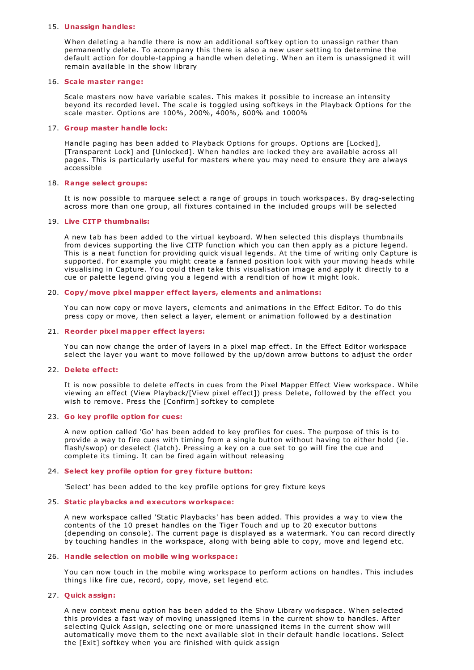## 15. **Unassign handles:**

W hen deleting a handle there is now an additional softkey option to unassign rather than permanently delete. To accompany this there is also a new user setting to determine the default action for double-tapping a handle when deleting. W hen an item is unassigned it will remain available in the show library

## 16. **Scale master range:**

Scale masters now have variable scales. This makes it possible to increase an intensity beyond its recorded level. The scale is toggled using softkeys in the Playback Options for the scale master. Options are 100%, 200%, 400%, 600% and 1000%

## 17. **Group master handle lock:**

Handle paging has been added to Playback Options for groups. Options are [Locked], [Transparent Lock] and [Unlocked]. W hen handles are locked they are available across all pages. This is particularly useful for masters where you may need to ensure they are always accessible

## 18. **Range select groups:**

It is now possible to marquee select a range of groups in touch workspaces. By drag-selecting across more than one group, all fixtures contained in the included groups will be selected

## 19. **Live CITP thumbnails:**

A new tab has been added to the virtual keyboard. W hen selected this displays thumbnails from devices supporting the live CITP function which you can then apply as a picture legend. This is a neat function for providing quick visual legends. At the time of writing only Capture is supported. For example you might create a fanned position look with your moving heads while visualising in Capture. You could then take this visualisation image and apply it directly to a cue or palette legend giving you a legend with a rendition of how it might look.

## 20. **Copy/move pixel mapper effect layers, elements and animations:**

You can now copy or move layers, elements and animations in the Effect Editor. To do this press copy or move, then select a layer, element or animation followed by a destination

## 21. **Reorder pixel mapper effect layers:**

You can now change the order of layers in a pixel map effect. In the Effect Editor workspace select the layer you want to move followed by the up/down arrow buttons to adjust the order

## 22. **Delete effect:**

It is now possible to delete effects in cues from the Pixel Mapper Effect View workspace. W hile viewing an effect (View Playback/[View pixel effect]) press Delete, followed by the effect you wish to remove. Press the [Confirm] softkey to complete

## 23. **Go key profile option for cues:**

A new option called 'Go' has been added to key profiles for cues. The purpose of this is to provide a way to fire cues with timing from a single button without having to either hold (ie. flash/swop) or deselect (latch). Pressing a key on a cue set to go will fire the cue and complete its timing. It can be fired again without releasing

## 24. **Select key profile option for grey fixture button:**

'Select' has been added to the key profile options for grey fixture keys

## 25. **Static playbacks and executors workspace:**

A new workspace called 'Static Playbacks' has been added. This provides a way to view the contents of the 10 preset handles on the Tiger Touch and up to 20 executor buttons (depending on console). The current page is displayed as a watermark. You can record directly by touching handles in the workspace, along with being able to copy, move and legend etc.

### 26. **Handle selection on mobile wing workspace:**

You can now touch in the mobile wing workspace to perform actions on handles. This includes things like fire cue, record, copy, move, set legend etc.

## 27. **Quick assign:**

A new context menu option has been added to the Show Library workspace. W hen selected this provides a fast way of moving unassigned items in the current show to handles. After selecting Quick Assign, selecting one or more unassigned items in the current show will automatically move them to the next available slot in their default handle locations. Select the [Exit] softkey when you are finished with quick assign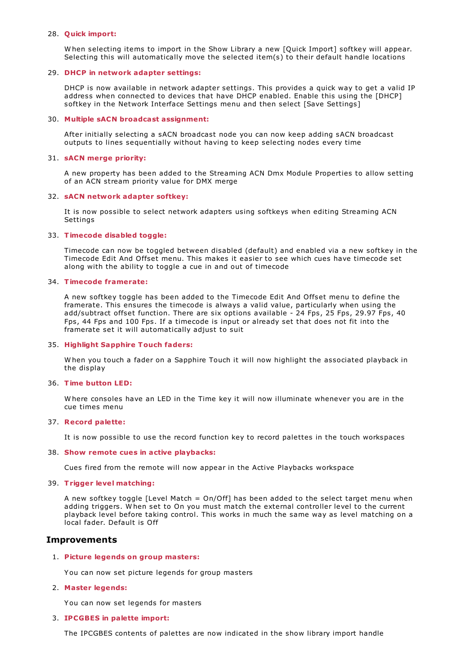## 28. **Quick import:**

W hen selecting items to import in the Show Library a new [Quick Import] softkey will appear. Selecting this will automatically move the selected item(s) to their default handle locations

## 29. **DHCP in network adapter settings:**

DHCP is now available in network adapter settings. This provides a quick way to get a valid IP address when connected to devices that have DHCP enabled. Enable this using the [DHCP] softkey in the Network Interface Settings menu and then select [Save Settings]

## 30. **Multiple sACN broadcast assignment:**

After initially selecting a sACN broadcast node you can now keep adding sACN broadcast outputs to lines sequentially without having to keep selecting nodes every time

## 31. **sACN merge priority:**

A new property has been added to the Streaming ACN Dmx Module Properties to allow setting of an ACN stream priority value for DMX merge

## 32. **sACN network adapter softkey:**

It is now possible to select network adapters using softkeys when editing Streaming ACN Settings

## 33. **Timecode disabled toggle:**

Timecode can now be toggled between disabled (default) and enabled via a new softkey in the Timecode Edit And Offset menu. This makes it easier to see which cues have timecode set along with the ability to toggle a cue in and out of timecode

# 34. **Timecode framerate:**

A new softkey toggle has been added to the Timecode Edit And Offset menu to define the framerate. This ensures the timecode is always a valid value, particularly when using the add/subtract offset function. There are six options available - 24 Fps, 25 Fps, 29.97 Fps, 40 Fps, 44 Fps and 100 Fps. If a timecode is input or already set that does not fit into the framerate set it will automatically adjust to suit

## 35. **Highlight Sapphire Touch faders:**

W hen you touch a fader on a Sapphire Touch it will now highlight the associated playback in the display

### 36. **Time button LED:**

W here consoles have an LED in the Time key it will now illuminate whenever you are in the cue times menu

## 37. **Record palette:**

It is now possible to use the record function key to record palettes in the touch workspaces

### 38. **Show remote cues in active playbacks:**

Cues fired from the remote will now appear in the Active Playbacks workspace

### 39. **Trigger level matching:**

A new softkey toggle [Level Match =  $On/Off$ ] has been added to the select target menu when adding triggers. W hen set to On you must match the external controller level to the current playback level before taking control. This works in much the same way as level matching on a local fader. Default is Off

# **Improvements**

## 1. **Picture legends on group masters:**

You can now set picture legends for group masters

## 2. **Master legends:**

You can now set legends for masters

### 3. **IPCGBES in palette import:**

The IPCGBES contents of palettes are now indicated in the show library import handle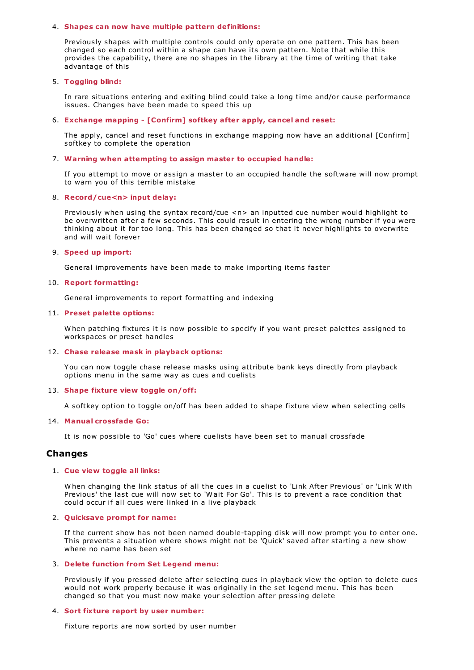## 4. **Shapes can now have multiple pattern definitions:**

Previously shapes with multiple controls could only operate on one pattern. This has been changed so each control within a shape can have its own pattern. Note that while this provides the capability, there are no shapes in the library at the time of writing that take advantage of this

# 5. **Toggling blind:**

In rare situations entering and exiting blind could take a long time and/or cause performance issues. Changes have been made to speed this up

# 6. **Exchange mapping - [Confirm] softkey after apply, cancel and reset:**

The apply, cancel and reset functions in exchange mapping now have an additional [Confirm] softkey to complete the operation

# 7. **Warning when attempting to assign master to occupied handle:**

If you attempt to move or assign a master to an occupied handle the software will now prompt to warn you of this terrible mistake

# 8. **Record/cue<n> input delay:**

Previously when using the syntax record/cue <n> an inputted cue number would highlight to be overwritten after a few seconds. This could result in entering the wrong number if you were thinking about it for too long. This has been changed so that it never highlights to overwrite and will wait forever

# 9. **Speed up import:**

General improvements have been made to make importing items faster

# 10. **Report formatting:**

General improvements to report formatting and indexing

# 11. **Preset palette options:**

W hen patching fixtures it is now possible to specify if you want preset palettes assigned to workspaces or preset handles

## 12. **Chase release mask in playback options:**

You can now toggle chase release masks using attribute bank keys directly from playback options menu in the same way as cues and cuelists

## 13. **Shape fixture view toggle on/off:**

A softkey option to toggle on/off has been added to shape fixture view when selecting cells

## 14. **Manual crossfade Go:**

It is now possible to 'Go' cues where cuelists have been set to manual crossfade

# **Changes**

## 1. **Cue view toggle all links:**

W hen changing the link status of all the cues in a cuelist to 'Link After Previous' or 'Link W ith Previous' the last cue will now set to 'W ait For Go'. This is to prevent a race condition that could occur if all cues were linked in a live playback

## 2. **Quicksave prompt for name:**

If the current show has not been named double-tapping disk will now prompt you to enter one. This prevents a situation where shows might not be 'Quick' saved after starting a new show where no name has been set

# 3. **Delete function from Set Legend menu:**

Previously if you pressed delete after selecting cues in playback view the option to delete cues would not work properly because it was originally in the set legend menu. This has been changed so that you must now make your selection after pressing delete

## 4. **Sort fixture report by user number:**

Fixture reports are now sorted by user number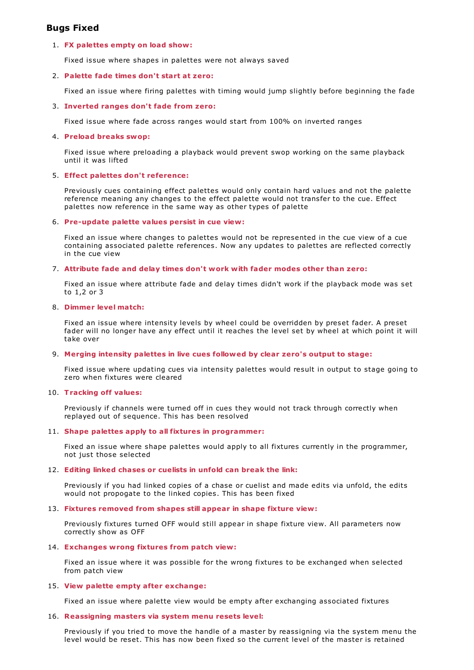# **Bugs Fixed**

# 1. **FX palettes empty on load show:**

Fixed issue where shapes in palettes were not always saved

## 2. **Palette fade times don't start at zero:**

Fixed an issue where firing palettes with timing would jump slightly before beginning the fade

## 3. **Inverted ranges don't fade from zero:**

Fixed issue where fade across ranges would start from 100% on inverted ranges

## 4. **Preload breaks swop:**

Fixed issue where preloading a playback would prevent swop working on the same playback until it was lifted

## 5. **Effect palettes don't reference:**

Previously cues containing effect palettes would only contain hard values and not the palette reference meaning any changes to the effect palette would not transfer to the cue. Effect palettes now reference in the same way as other types of palette

## 6. **Pre-update palette values persist in cue view:**

Fixed an issue where changes to palettes would not be represented in the cue view of a cue containing associated palette references. Now any updates to palettes are reflected correctly in the cue view

## 7. **Attribute fade and delay times don't work with fader modes other than zero:**

Fixed an issue where attribute fade and delay times didn't work if the playback mode was set to 1,2 or 3

## 8. **Dimmer level match:**

Fixed an issue where intensity levels by wheel could be overridden by preset fader. A preset fader will no longer have any effect until it reaches the level set by wheel at which point it will take over

## 9. **Merging intensity palettes in live cues followed by clear zero's output to stage:**

Fixed issue where updating cues via intensity palettes would result in output to stage going to zero when fixtures were cleared

## 10. **Tracking off values:**

Previously if channels were turned off in cues they would not track through correctly when replayed out of sequence. This has been resolved

## 11. **Shape palettes apply to all fixtures in programmer:**

Fixed an issue where shape palettes would apply to all fixtures currently in the programmer, not just those selected

## 12. **Editing linked chases or cuelists in unfold can break the link:**

Previously if you had linked copies of a chase or cuelist and made edits via unfold, the edits would not propogate to the linked copies. This has been fixed

## 13. **Fixtures removed from shapes still appear in shape fixture view:**

Previously fixtures turned OFF would still appear in shape fixture view. All parameters now correctly show as OFF

## 14. **Exchanges wrong fixtures from patch view:**

Fixed an issue where it was possible for the wrong fixtures to be exchanged when selected from patch view

### 15. **View palette empty after exchange:**

Fixed an issue where palette view would be empty after exchanging associated fixtures

## 16. **Reassigning masters via system menu resets level:**

Previously if you tried to move the handle of a master by reassigning via the system menu the level would be reset. This has now been fixed so the current level of the master is retained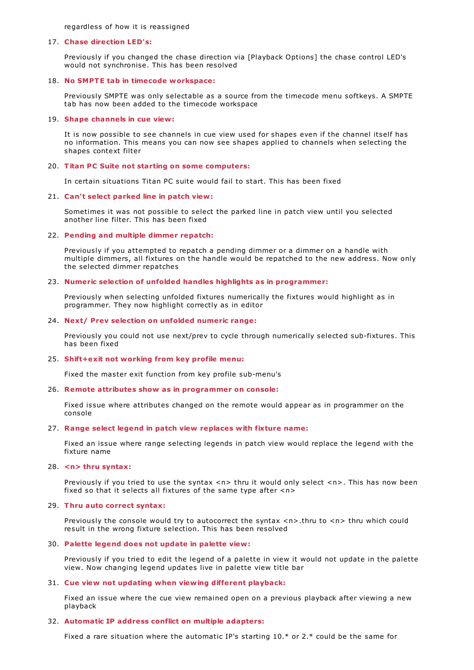regardless of how it is reassigned

### 17. **Chase direction LED's:**

Previously if you changed the chase direction via [Playback Options] the chase control LED's would not synchronise. This has been resolved

### 18. **No SMPTE tab in timecode workspace:**

Previously SMPTE was only selectable as a source from the timecode menu softkeys. A SMPTE tab has now been added to the timecode workspace

#### 19. **Shape channels in cue view:**

It is now possible to see channels in cue view used for shapes even if the channel itself has no information. This means you can now see shapes applied to channels when selecting the shapes context filter

## 20. **Titan PC Suite not starting on some computers:**

In certain situations Titan PC suite would fail to start. This has been fixed

### 21. **Can't select parked line in patch view:**

Sometimes it was not possible to select the parked line in patch view until you selected another line filter. This has been fixed

### 22. **Pending and multiple dimmer repatch:**

Previously if you attempted to repatch a pending dimmer or a dimmer on a handle with multiple dimmers, all fixtures on the handle would be repatched to the new address. Now only the selected dimmer repatches

# 23. **Numeric selection of unfolded handles highlights as in programmer:**

Previously when selecting unfolded fixtures numerically the fixtures would highlight as in programmer. They now highlight correctly as in editor

### 24. **Next/ Prev selection on unfolded numeric range:**

Previously you could not use next/prev to cycle through numerically selected sub-fixtures. This has been fixed

### 25. **Shift+exit not working from key profile menu:**

Fixed the master exit function from key profile sub-menu's

### 26. **Remote attributes show as in programmer on console:**

Fixed issue where attributes changed on the remote would appear as in programmer on the console

### 27. **Range select legend in patch view replaces with fixture name:**

Fixed an issue where range selecting legends in patch view would replace the legend with the fixture name

## 28. **<n> thru syntax:**

Previously if you tried to use the syntax <n> thru it would only select <n>. This has now been fixed so that it selects all fixtures of the same type after <n>

#### 29. **Thru auto correct syntax:**

Previously the console would try to autocorrect the syntax  $\langle n \rangle$ .thru to  $\langle n \rangle$  thru which could result in the wrong fixture selection. This has been resolved

### 30. **Palette legend does not update in palette view:**

Previously if you tried to edit the legend of a palette in view it would not update in the palette view. Now changing legend updates live in palette view title bar

### 31. **Cue view not updating when viewing different playback:**

Fixed an issue where the cue view remained open on a previous playback after viewing a new playback

### 32. **Automatic IP address conflict on multiple adapters:**

Fixed a rare situation where the automatic IP's starting 10.\* or 2.\* could be the same for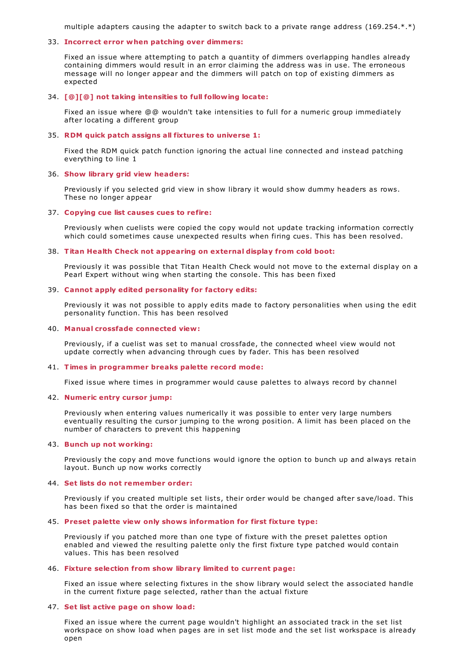multiple adapters causing the adapter to switch back to a private range address (169.254.\*.\*)

## 33. **Incorrect error when patching over dimmers:**

Fixed an issue where attempting to patch a quantity of dimmers overlapping handles already containing dimmers would result in an error claiming the address was in use. The erroneous message will no longer appear and the dimmers will patch on top of existing dimmers as expected

### 34. **[@][@] not taking intensities to full following locate:**

Fixed an issue where @@ wouldn't take intensities to full for a numeric group immediately after locating a different group

### 35. **RDM quick patch assigns all fixtures to universe 1:**

Fixed the RDM quick patch function ignoring the actual line connected and instead patching everything to line 1

### 36. **Show library grid view headers:**

Previously if you selected grid view in show library it would show dummy headers as rows. These no longer appear

## 37. **Copying cue list causes cues to refire:**

Previously when cuelists were copied the copy would not update tracking information correctly which could sometimes cause unexpected results when firing cues. This has been resolved.

#### 38. **Titan Health Check not appearing on external display from cold boot:**

Previously it was possible that Titan Health Check would not move to the external display on a Pearl Expert without wing when starting the console. This has been fixed

### 39. **Cannot apply edited personality for factory edits:**

Previously it was not possible to apply edits made to factory personalities when using the edit personality function. This has been resolved

### 40. **Manual crossfade connected view:**

Previously, if a cuelist was set to manual crossfade, the connected wheel view would not update correctly when advancing through cues by fader. This has been resolved

#### 41. **Times in programmer breaks palette record mode:**

Fixed issue where times in programmer would cause palettes to always record by channel

### 42. **Numeric entry cursor jump:**

Previously when entering values numerically it was possible to enter very large numbers eventually resulting the cursor jumping to the wrong position. A limit has been placed on the number of characters to prevent this happening

### 43. **Bunch up not working:**

Previously the copy and move functions would ignore the option to bunch up and always retain layout. Bunch up now works correctly

### 44. **Set lists do not remember order:**

Previously if you created multiple set lists, their order would be changed after save/load. This has been fixed so that the order is maintained

#### 45. **Preset palette view only shows information for first fixture type:**

Previously if you patched more than one type of fixture with the preset palettes option enabled and viewed the resulting palette only the first fixture type patched would contain values. This has been resolved

## 46. **Fixture selection from show library limited to current page:**

Fixed an issue where selecting fixtures in the show library would select the associated handle in the current fixture page selected, rather than the actual fixture

## 47. **Set list active page on show load:**

Fixed an issue where the current page wouldn't highlight an associated track in the set list workspace on show load when pages are in set list mode and the set list workspace is already open